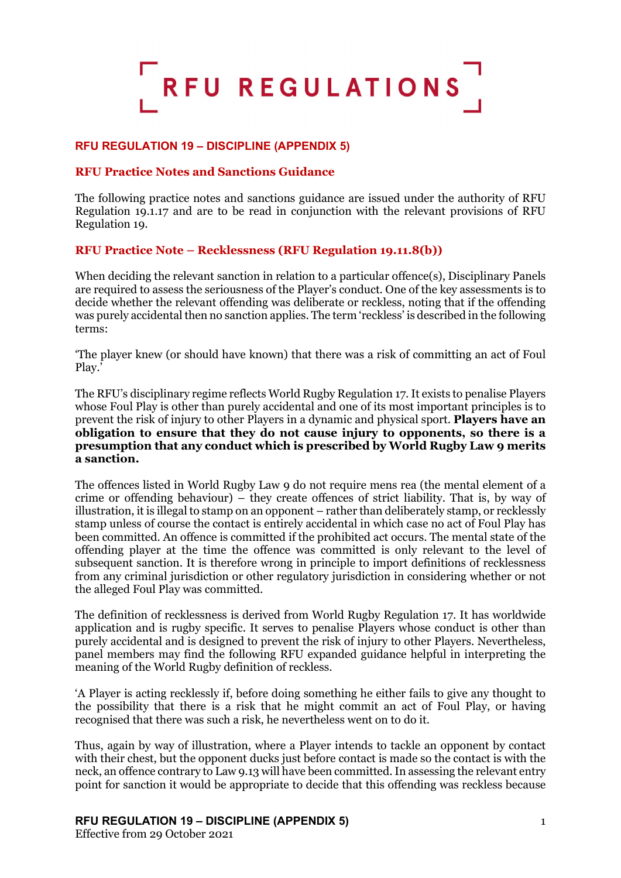

## **RFU REGULATION 19 – DISCIPLINE (APPENDIX 5)**

## **RFU Practice Notes and Sanctions Guidance**

The following practice notes and sanctions guidance are issued under the authority of RFU Regulation 19.1.17 and are to be read in conjunction with the relevant provisions of RFU Regulation 19.

## **RFU Practice Note – Recklessness (RFU Regulation 19.11.8(b))**

When deciding the relevant sanction in relation to a particular offence(s), Disciplinary Panels are required to assess the seriousness of the Player's conduct. One of the key assessments is to decide whether the relevant offending was deliberate or reckless, noting that if the offending was purely accidental then no sanction applies. The term 'reckless' is described in the following terms:

'The player knew (or should have known) that there was a risk of committing an act of Foul Play.'

The RFU's disciplinary regime reflects World Rugby Regulation 17. It exists to penalise Players whose Foul Play is other than purely accidental and one of its most important principles is to prevent the risk of injury to other Players in a dynamic and physical sport. **Players have an obligation to ensure that they do not cause injury to opponents, so there is a presumption that any conduct which is prescribed by World Rugby Law 9 merits a sanction.**

The offences listed in World Rugby Law 9 do not require mens rea (the mental element of a crime or offending behaviour) – they create offences of strict liability. That is, by way of illustration, it is illegal to stamp on an opponent – rather than deliberately stamp, or recklessly stamp unless of course the contact is entirely accidental in which case no act of Foul Play has been committed. An offence is committed if the prohibited act occurs. The mental state of the offending player at the time the offence was committed is only relevant to the level of subsequent sanction. It is therefore wrong in principle to import definitions of recklessness from any criminal jurisdiction or other regulatory jurisdiction in considering whether or not the alleged Foul Play was committed.

The definition of recklessness is derived from World Rugby Regulation 17. It has worldwide application and is rugby specific. It serves to penalise Players whose conduct is other than purely accidental and is designed to prevent the risk of injury to other Players. Nevertheless, panel members may find the following RFU expanded guidance helpful in interpreting the meaning of the World Rugby definition of reckless.

'A Player is acting recklessly if, before doing something he either fails to give any thought to the possibility that there is a risk that he might commit an act of Foul Play, or having recognised that there was such a risk, he nevertheless went on to do it.

Thus, again by way of illustration, where a Player intends to tackle an opponent by contact with their chest, but the opponent ducks just before contact is made so the contact is with the neck, an offence contrary to Law 9.13 will have been committed. In assessing the relevant entry point for sanction it would be appropriate to decide that this offending was reckless because

#### **RFU REGULATION 19 – DISCIPLINE (APPENDIX 5)** 1

Effective from 29 October 2021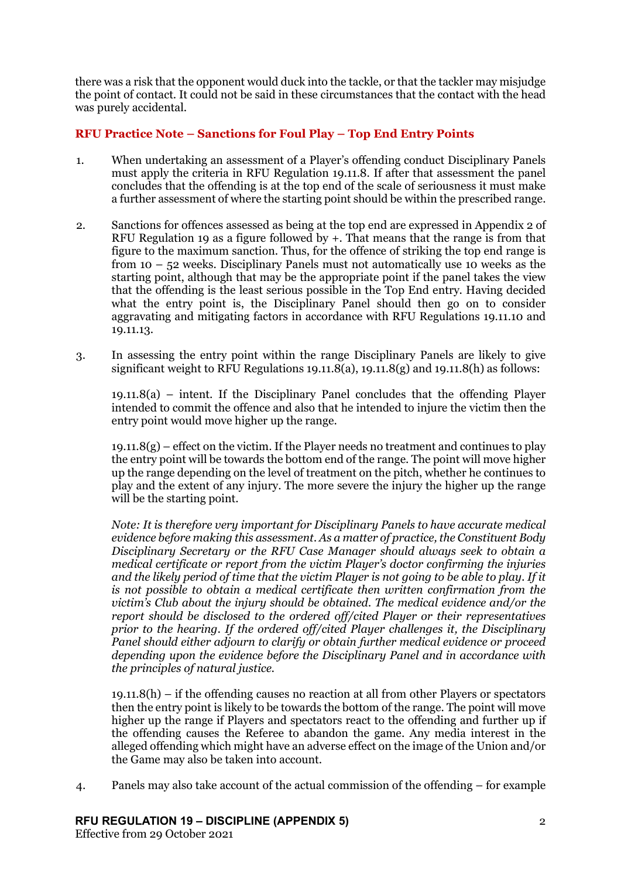there was a risk that the opponent would duck into the tackle, or that the tackler may misjudge the point of contact. It could not be said in these circumstances that the contact with the head was purely accidental.

# **RFU Practice Note – Sanctions for Foul Play – Top End Entry Points**

- 1. When undertaking an assessment of a Player's offending conduct Disciplinary Panels must apply the criteria in RFU Regulation 19.11.8. If after that assessment the panel concludes that the offending is at the top end of the scale of seriousness it must make a further assessment of where the starting point should be within the prescribed range.
- 2. Sanctions for offences assessed as being at the top end are expressed in Appendix 2 of RFU Regulation 19 as a figure followed by  $+$ . That means that the range is from that figure to the maximum sanction. Thus, for the offence of striking the top end range is from 10 – 52 weeks. Disciplinary Panels must not automatically use 10 weeks as the starting point, although that may be the appropriate point if the panel takes the view that the offending is the least serious possible in the Top End entry. Having decided what the entry point is, the Disciplinary Panel should then go on to consider aggravating and mitigating factors in accordance with RFU Regulations 19.11.10 and 19.11.13.
- 3. In assessing the entry point within the range Disciplinary Panels are likely to give significant weight to RFU Regulations 19.11.8(a), 19.11.8(g) and 19.11.8(h) as follows:

19.11.8(a) – intent. If the Disciplinary Panel concludes that the offending Player intended to commit the offence and also that he intended to injure the victim then the entry point would move higher up the range.

 $19.11.8(g)$  – effect on the victim. If the Player needs no treatment and continues to play the entry point will be towards the bottom end of the range. The point will move higher up the range depending on the level of treatment on the pitch, whether he continues to play and the extent of any injury. The more severe the injury the higher up the range will be the starting point.

*Note: It is therefore very important for Disciplinary Panels to have accurate medical evidence before making this assessment. As a matter of practice, the Constituent Body Disciplinary Secretary or the RFU Case Manager should always seek to obtain a medical certificate or report from the victim Player's doctor confirming the injuries and the likely period of time that the victim Player is not going to be able to play. If it is not possible to obtain a medical certificate then written confirmation from the victim's Club about the injury should be obtained. The medical evidence and/or the report should be disclosed to the ordered off/cited Player or their representatives prior to the hearing. If the ordered off/cited Player challenges it, the Disciplinary Panel should either adjourn to clarify or obtain further medical evidence or proceed depending upon the evidence before the Disciplinary Panel and in accordance with the principles of natural justice.*

 $19.11.8(h)$  – if the offending causes no reaction at all from other Players or spectators then the entry point is likely to be towards the bottom of the range. The point will move higher up the range if Players and spectators react to the offending and further up if the offending causes the Referee to abandon the game. Any media interest in the alleged offending which might have an adverse effect on the image of the Union and/or the Game may also be taken into account.

4. Panels may also take account of the actual commission of the offending – for example

## **RFU REGULATION 19 – DISCIPLINE (APPENDIX 5)** 2